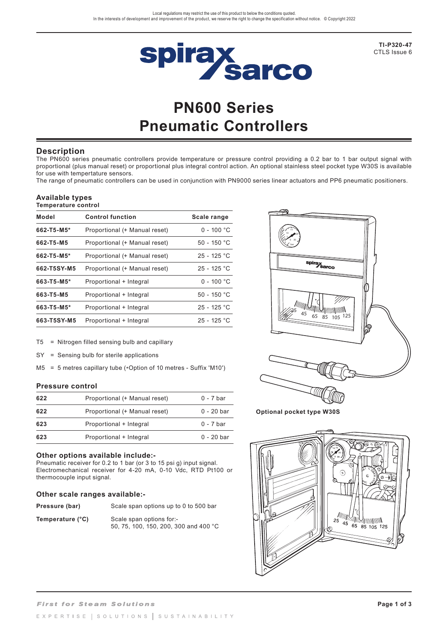

**TI-P320-47**  CTLS Issue 6

# **PN600 Series Pneumatic Controllers**

## **Description**

The PN600 series pneumatic controllers provide temperature or pressure control providing a 0.2 bar to 1 bar output signal with proportional (plus manual reset) or proportional plus integral control action. An optional stainless steel pocket type W30S is available for use with tempertature sensors.

The range of pneumatic controllers can be used in conjunction with PN9000 series linear actuators and PP6 pneumatic positioners.

#### **Available types Temperature control**

| Model       | <b>Control function</b>       | Scale range   |
|-------------|-------------------------------|---------------|
| 662-T5-M5*  | Proportional (+ Manual reset) | $0 - 100 °C$  |
| 662-T5-M5   | Proportional (+ Manual reset) | 50 - 150 °C   |
| 662-T5-M5*  | Proportional (+ Manual reset) | $25 - 125 °C$ |
| 662-T5SY-M5 | Proportional (+ Manual reset) | $25 - 125 °C$ |
| 663-T5-M5*  | Proportional + Integral       | $0 - 100 °C$  |
| 663-T5-M5   | Proportional + Integral       | $50 - 150 °C$ |
| 663-T5-M5*  | Proportional + Integral       | $25 - 125 °C$ |
| 663-T5SY-M5 | Proportional + Integral       | $25 - 125 °C$ |

T5 = Nitrogen filled sensing bulb and capillary

SY = Sensing bulb for sterile applications

M5 = 5 metres capillary tube (\*Option of 10 metres - Suffix 'M10')

#### **Pressure control**

| 622 | Proportional (+ Manual reset) | $0 - 7$ bar |
|-----|-------------------------------|-------------|
| 622 | Proportional (+ Manual reset) | 0 - 20 bar  |
| 623 | Proportional + Integral       | $0 - 7$ bar |
| 623 | Proportional + Integral       | 0 - 20 bar  |

#### **Other options available include:-**

Pneumatic receiver for 0.2 to 1 bar (or 3 to 15 psi g) input signal. Electromechanical receiver for 4-20 mA, 0-10 Vdc, RTD Pt100 or thermocouple input signal.

#### **Other scale ranges available:-**

| Pressure (bar)   | Scale span options up to 0 to 500 bar                             |
|------------------|-------------------------------------------------------------------|
| Temperature (°C) | Scale span options for:-<br>50, 75, 100, 150, 200, 300 and 400 °C |



**Optional pocket type W30S**

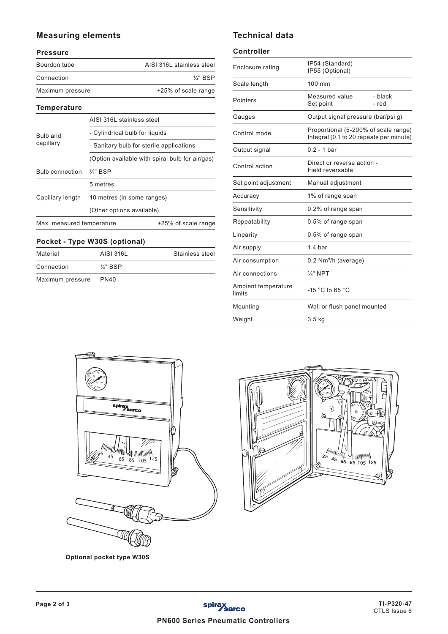## **Measuring elements**

## **Pressure**

| Bourdon tube     | AISI 316L stainless steel |
|------------------|---------------------------|
| Connection       | $\frac{1}{4}$ " BSP       |
| Maximum pressure | +25% of scale range       |

#### **Temperature**

|                           | AISI 316L stainless steel                       |                     |
|---------------------------|-------------------------------------------------|---------------------|
| Bulb and<br>capillary     | - Cylindrical bulb for liquids                  |                     |
|                           | - Sanitary bulb for sterile applications        |                     |
|                           | (Option available with spiral bulb for air/gas) |                     |
| <b>Bulb connection</b>    | $\frac{3}{4}$ " BSP                             |                     |
|                           | 5 metres                                        |                     |
| Capillary length          | 10 metres (in some ranges)                      |                     |
|                           | (Other options available)                       |                     |
| Max. measured temperature |                                                 | +25% of scale range |

## **Pocket - Type W30S (optional)**

| Material         | AISI 316L           | Stainless steel |
|------------------|---------------------|-----------------|
| Connection       | $\frac{1}{2}$ " BSP |                 |
| Maximum pressure | <b>PN40</b>         |                 |

# **Technical data**

#### **Controller**

| Enclosure rating              | IP54 (Standard)<br>IP55 (Optional)                                              |                  |
|-------------------------------|---------------------------------------------------------------------------------|------------------|
| Scale length                  | 100 mm                                                                          |                  |
| Pointers                      | Measured value<br>Set point                                                     | - black<br>- red |
| Gauges                        | Output signal pressure (bar/psi g)                                              |                  |
| Control mode                  | Proportional (5-200% of scale range)<br>Integral (0.1 to 20 repeats per minute) |                  |
| Output signal                 | $0.2 - 1$ bar                                                                   |                  |
| Control action                | Direct or reverse action -<br>Field reversable                                  |                  |
| Set point adjustment          | Manual adjustment                                                               |                  |
| Accuracy                      | 1% of range span                                                                |                  |
| Sensitivity                   | 0.2% of range span                                                              |                  |
| Repeatability                 | 0.5% of range span                                                              |                  |
| Linearity                     | 0.5% of range span                                                              |                  |
| Air supply                    | 1.4 <sub>bar</sub>                                                              |                  |
| Air consumption               | $0.2$ Nm <sup>3</sup> /h (average)                                              |                  |
| Air connections               | $\frac{1}{4}$ " NPT                                                             |                  |
| Ambient temperature<br>limits | $-15$ °C to 65 °C                                                               |                  |
| Mounting                      | Wall or flush panel mounted                                                     |                  |
| Weight                        | 3.5 <sub>kg</sub>                                                               |                  |



**Optional pocket type W30S**